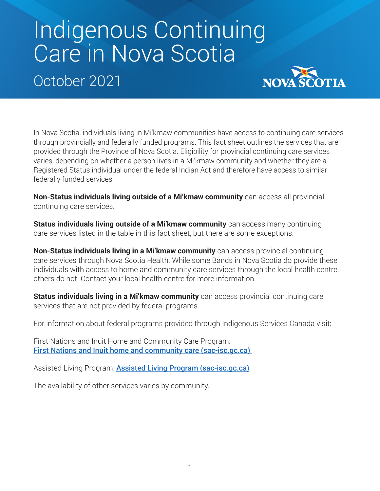## Indigenous Continuing Care in Nova Scotia

October 2021



In Nova Scotia, individuals living in Mi'kmaw communities have access to continuing care services through provincially and federally funded programs. This fact sheet outlines the services that are provided through the Province of Nova Scotia. Eligibility for provincial continuing care services varies, depending on whether a person lives in a Mi'kmaw community and whether they are a Registered Status individual under the federal Indian Act and therefore have access to similar federally funded services.

**Non-Status individuals living outside of a Mi'kmaw community** can access all provincial continuing care services.

**Status individuals living outside of a Mi'kmaw community** can access many continuing care services listed in the table in this fact sheet, but there are some exceptions.

**Non-Status individuals living in a Mi'kmaw community** can access provincial continuing care services through Nova Scotia Health. While some Bands in Nova Scotia do provide these individuals with access to home and community care services through the local health centre, others do not. Contact your local health centre for more information.

**Status individuals living in a Mi'kmaw community** can access provincial continuing care services that are not provided by federal programs.

For information about federal programs provided through Indigenous Services Canada visit:

First Nations and Inuit Home and Community Care Program: [First Nations and Inuit home and community care \(sac-isc.gc.ca\)](https://sac-isc.gc.ca/eng/1582550638699/1582550666787) 

Assisted Living Program: **[Assisted Living Program \(sac-isc.gc.ca\)](https://sac-isc.gc.ca/eng/1100100035250/1533317440443)** 

The availability of other services varies by community.